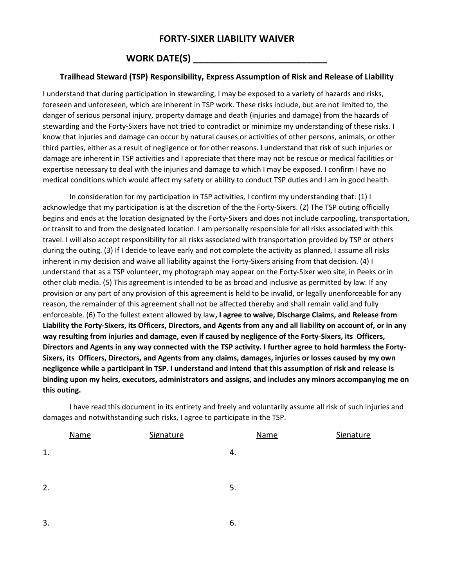## **FORTY-SIXER LIABILITY WAIVER**

## **WORK DATE(S) \_\_\_\_\_\_\_\_\_\_\_\_\_\_\_\_\_\_\_\_\_\_\_\_\_\_**

## **Trailhead Steward (TSP) Responsibility, Express Assumption of Risk and Release of Liability**

I understand that during participation in stewarding, I may be exposed to a variety of hazards and risks, foreseen and unforeseen, which are inherent in TSP work. These risks include, but are not limited to, the danger of serious personal injury, property damage and death (injuries and damage) from the hazards of stewarding and the Forty-Sixers have not tried to contradict or minimize my understanding of these risks. I know that injuries and damage can occur by natural causes or activities of other persons, animals, or other third parties, either as a result of negligence or for other reasons. I understand that risk of such injuries or damage are inherent in TSP activities and I appreciate that there may not be rescue or medical facilities or expertise necessary to deal with the injuries and damage to which I may be exposed. I confirm I have no medical conditions which would affect my safety or ability to conduct TSP duties and I am in good health.

In consideration for my participation in TSP activities, I confirm my understanding that: (1) I acknowledge that my participation is at the discretion of the the Forty-Sixers. (2) The TSP outing officially begins and ends at the location designated by the Forty-Sixers and does not include carpooling, transportation, or transit to and from the designated location. I am personally responsible for all risks associated with this travel. I will also accept responsibility for all risks associated with transportation provided by TSP or others during the outing. (3) If I decide to leave early and not complete the activity as planned, I assume all risks inherent in my decision and waive all liability against the Forty-Sixers arising from that decision. (4) I understand that as a TSP volunteer, my photograph may appear on the Forty-Sixer web site, in Peeks or in other club media. (5) This agreement is intended to be as broad and inclusive as permitted by law. If any provision or any part of any provision of this agreement is held to be invalid, or legally unenforceable for any reason, the remainder of this agreement shall not be affected thereby and shall remain valid and fully enforceable. (6) To the fullest extent allowed by law**, I agree to waive, Discharge Claims, and Release from Liability the Forty-Sixers, its Officers, Directors, and Agents from any and all liability on account of, or in any way resulting from injuries and damage, even if caused by negligence of the Forty-Sixers, its Officers, Directors and Agents in any way connected with the TSP activity. I further agree to hold harmless the Forty-Sixers, its Officers, Directors, and Agents from any claims, damages, injuries or losses caused by my own negligence while a participant in TSP. I understand and intend that this assumption of risk and release is binding upon my heirs, executors, administrators and assigns, and includes any minors accompanying me on this outing.**

I have read this document in its entirety and freely and voluntarily assume all risk of such injuries and damages and notwithstanding such risks, I agree to participate in the TSP.

|    | <b>Name</b> | Signature |    | <b>Name</b> | Signature |
|----|-------------|-----------|----|-------------|-----------|
| 1. |             |           | 4. |             |           |
| 2. |             |           | 5. |             |           |
|    |             |           |    |             |           |

 $3.6.$